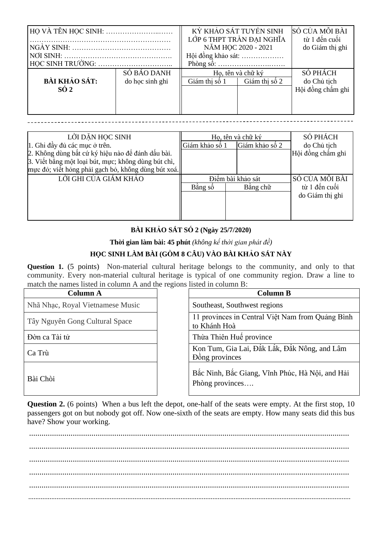| HO VÀ TÊN HOC SINH:  |                 | KỪ KHẢO SÁT TUYỀN SINH<br>LỚP 6 THPT TRẦN ĐAI NGHĨA               |               | SỐ CỦA MÕI BÀI<br>từ 1 đến cuối |
|----------------------|-----------------|-------------------------------------------------------------------|---------------|---------------------------------|
|                      |                 | NĂM HỌC 2020 - 2021                                               |               | do Giám thị ghi                 |
|                      |                 | Hội đồng khảo sát:                                                |               |                                 |
|                      |                 | Phòng số: $\dots \dots \dots \dots \dots \dots \dots \dots \dots$ |               |                                 |
| SỐ BÁO DANH          |                 | Ho, tên và chữ ký                                                 |               | SỐ PHÁCH                        |
| <b>BÀI KHẢO SÁT:</b> | do học sinh ghi | Giám thi số 1                                                     | Giám thi số 2 | do Chủ tịch                     |
| $S\hat{O}2$          |                 |                                                                   |               | Hội đồng chấm ghi               |
|                      |                 |                                                                   |               |                                 |
|                      |                 |                                                                   |               |                                 |

| Họ, tên và chữ ký<br>Giám khảo số 2<br>  Giám khảo số 1 |                                                     | SỐ PHÁCH<br>do Chủ tịch |
|---------------------------------------------------------|-----------------------------------------------------|-------------------------|
|                                                         |                                                     | Hội đồng chấm ghi       |
|                                                         |                                                     |                         |
| Điểm bài khảo sát                                       |                                                     | SỐ CỦA MỖI BÀI          |
| Bằng số                                                 | Bằng chữ                                            | từ 1 đến cuối           |
|                                                         |                                                     | do Giám thị ghi         |
|                                                         |                                                     |                         |
|                                                         |                                                     |                         |
|                                                         | mực đỏ; viết hỏng phải gạch bỏ, không dùng bút xoá. |                         |

## **BÀI KHẢO SÁT SỐ 2 (Ngày 25/7/2020)**

**Thời gian làm bài: 45 phút** *(không kể thời gian phát đề)*

## **HỌC SINH LÀM BÀI (GỒM 8 CÂU) VÀO BÀI KHẢO SÁT NÀY**

**Question 1.** (5 points) Non-material cultural heritage belongs to the community, and only to that community. Every non-material cultural heritage is typical of one community region. Draw a line to match the names listed in column A and the regions listed in column B:

| <b>Column A</b>                  | <b>Column B</b>                                                    |
|----------------------------------|--------------------------------------------------------------------|
| Nhã Nhạc, Royal Vietnamese Music | Southeast, Southwest regions                                       |
| Tây Nguyên Gong Cultural Space   | 11 provinces in Central Việt Nam from Quảng Bình<br>to Khánh Hoà   |
| Đờn ca Tài tử                    | Thừa Thiên Huế province                                            |
| Ca Trù                           | Kon Tum, Gia Lai, Đắk Lắk, Đắk Nông, and Lâm<br>Dông provinces     |
| Bài Chòi                         | Bắc Ninh, Bắc Giang, Vĩnh Phúc, Hà Nội, and Hải<br>Phòng provinces |

**Question 2.** (6 points) When a bus left the depot, one-half of the seats were empty. At the first stop, 10 passengers got on but nobody got off. Now one-sixth of the seats are empty. How many seats did this bus have? Show your working.

.......................................................................................................................................................... .......................................................................................................................................................... .......................................................................................................................................................... .......................................................................................................................................................... ..........................................................................................................................................................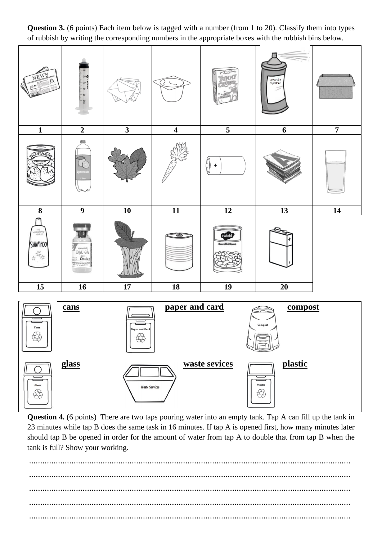

**Question 3.** (6 points) Each item below is tagged with a number (from 1 to 20). Classify them into types of rubbish by writing the corresponding numbers in the appropriate boxes with the rubbish bins below.

**Question 4.** (6 points) There are two taps pouring water into an empty tank. Tap A can fill up the tank in 23 minutes while tap B does the same task in 16 minutes. If tap A is opened first, how many minutes later should tap B be opened in order for the amount of water from tap A to double that from tap B when the tank is full? Show your working.

<u>상</u>

<u>숨</u>

................................................................................................................................................ ................................................................................................................................................ ................................................................................................................................................ ................................................................................................................................................ ................................................................................................................................................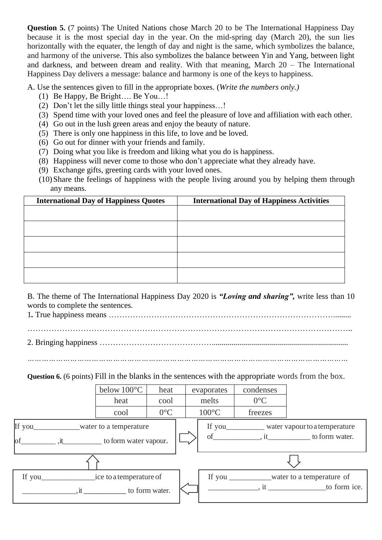**Question 5.** (7 points) The United Nations chose March 20 to be The International Happiness Day because it is the most special day in the year. On the mid-spring day (March 20), the sun lies horizontally with the equater, the length of day and night is the same, which symbolizes the balance, and harmony of the universe. This also symbolizes the balance between Yin and Yang, between light and darkness, and between dream and reality. With that meaning, March 20 – The International Happiness Day delivers a message: balance and harmony is one of the keys to happiness.

A. Use the sentences given to fill in the appropriate boxes. (*Write the numbers only.)*

- (1) Be Happy, Be Bright…. Be You…!
- (2) Don't let the silly little things steal your happiness…!
- (3) Spend time with your loved ones and feel the pleasure of love and affiliation with each other.
- (4) Go out in the lush green areas and enjoy the beauty of nature.
- (5) There is only one happiness in this life, to love and be loved.
- (6) Go out for dinner with your friends and family.
- (7) Doing what you like is freedom and liking what you do is happiness.
- (8) Happiness will never come to those who don't appreciate what they already have.
- (9) Exchange gifts, greeting cards with your loved ones.
- (10)Share the feelings of happiness with the people living around you by helping them through any means.

| <b>International Day of Happiness Quotes</b> | <b>International Day of Happiness Activities</b> |  |  |  |
|----------------------------------------------|--------------------------------------------------|--|--|--|
|                                              |                                                  |  |  |  |
|                                              |                                                  |  |  |  |
|                                              |                                                  |  |  |  |
|                                              |                                                  |  |  |  |
|                                              |                                                  |  |  |  |
|                                              |                                                  |  |  |  |
|                                              |                                                  |  |  |  |
|                                              |                                                  |  |  |  |
|                                              |                                                  |  |  |  |

B. The theme of The International Happiness Day 2020 is *"Loving and sharing",* write less than 10 words to complete the sentences*.*

1*.* True happiness means ………………………………………………………………………….........

…………………………………………………………………………………………………………..

2. Bringing happiness ……………………………………....................................................................

*………………………………………………………………………………………………………………………*

**Question 6.** (6 points) Fill in the blanks in the sentences with the appropriate words from the box.

|                         | below 100°C                                      | heat           | evaporates      | condenses                     |                     |
|-------------------------|--------------------------------------------------|----------------|-----------------|-------------------------------|---------------------|
|                         | heat<br>cool                                     |                | melts           | $0^{\circ}C$                  |                     |
|                         | cool                                             | $0^{\circ}C$   | $100^{\circ}$ C | freezes                       |                     |
| water to a temperature  |                                                  |                |                 | water vapour to a temperature |                     |
| $\circ$ f               | $\mu$ , it________________ to form water vapour. |                | of              |                               | , it to form water. |
|                         |                                                  |                |                 |                               |                     |
| ice to a temperature of |                                                  |                | If you $\_\_$   | water to a temperature of     |                     |
| $\cdot$ it              |                                                  | to form water. |                 |                               | , it to form ice.   |